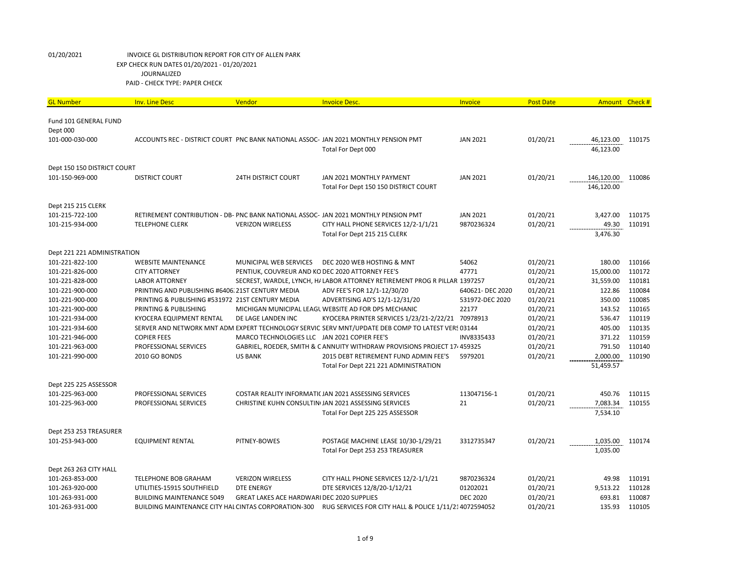| <b>GL Number</b>            | <b>Inv. Line Desc</b>                                | Vendor                                           | <b>Invoice Desc.</b>                                                                               | Invoice         | <b>Post Date</b> | Amount Check #        |                  |
|-----------------------------|------------------------------------------------------|--------------------------------------------------|----------------------------------------------------------------------------------------------------|-----------------|------------------|-----------------------|------------------|
| Fund 101 GENERAL FUND       |                                                      |                                                  |                                                                                                    |                 |                  |                       |                  |
| Dept 000                    |                                                      |                                                  |                                                                                                    |                 |                  |                       |                  |
| 101-000-030-000             |                                                      |                                                  | ACCOUNTS REC - DISTRICT COURT PNC BANK NATIONAL ASSOC- JAN 2021 MONTHLY PENSION PMT                | <b>JAN 2021</b> | 01/20/21         | 46,123.00             | 110175           |
|                             |                                                      |                                                  | Total For Dept 000                                                                                 |                 |                  | 46,123.00             |                  |
|                             |                                                      |                                                  |                                                                                                    |                 |                  |                       |                  |
| Dept 150 150 DISTRICT COURT |                                                      |                                                  |                                                                                                    |                 |                  |                       |                  |
| 101-150-969-000             | <b>DISTRICT COURT</b>                                | <b>24TH DISTRICT COURT</b>                       | JAN 2021 MONTHLY PAYMENT                                                                           | <b>JAN 2021</b> | 01/20/21         | 146,120.00            | 110086           |
|                             |                                                      |                                                  | Total For Dept 150 150 DISTRICT COURT                                                              |                 |                  | 146,120.00            |                  |
|                             |                                                      |                                                  |                                                                                                    |                 |                  |                       |                  |
| Dept 215 215 CLERK          |                                                      |                                                  |                                                                                                    |                 |                  |                       |                  |
| 101-215-722-100             |                                                      |                                                  | RETIREMENT CONTRIBUTION - DB- PNC BANK NATIONAL ASSOC- JAN 2021 MONTHLY PENSION PMT                | <b>JAN 2021</b> | 01/20/21         | 3,427.00              | 110175           |
| 101-215-934-000             | <b>TELEPHONE CLERK</b>                               | <b>VERIZON WIRELESS</b>                          | CITY HALL PHONE SERVICES 12/2-1/1/21                                                               | 9870236324      | 01/20/21         | 49.30                 | 110191           |
|                             |                                                      |                                                  | Total For Dept 215 215 CLERK                                                                       |                 |                  | 3,476.30              |                  |
|                             |                                                      |                                                  |                                                                                                    |                 |                  |                       |                  |
| Dept 221 221 ADMINISTRATION |                                                      |                                                  |                                                                                                    |                 |                  |                       |                  |
| 101-221-822-100             | <b>WEBSITE MAINTENANCE</b>                           | <b>MUNICIPAL WEB SERVICES</b>                    | DEC 2020 WEB HOSTING & MNT                                                                         | 54062           | 01/20/21         | 180.00                | 110166           |
| 101-221-826-000             | <b>CITY ATTORNEY</b>                                 | PENTIUK, COUVREUR AND KO DEC 2020 ATTORNEY FEE'S |                                                                                                    | 47771           | 01/20/21         | 15,000.00             | 110172           |
| 101-221-828-000             | <b>LABOR ATTORNEY</b>                                |                                                  | SECREST, WARDLE, LYNCH, H/ LABOR ATTORNEY RETIREMENT PROG R PILLAR 1397257                         |                 | 01/20/21         | 31,559.00             | 110181           |
| 101-221-900-000             | PRINTING AND PUBLISHING #6406. 21ST CENTURY MEDIA    |                                                  | ADV FEE'S FOR 12/1-12/30/20                                                                        | 640621-DEC 2020 | 01/20/21         | 122.86                | 110084           |
| 101-221-900-000             | PRINTING & PUBLISHING #531972 21ST CENTURY MEDIA     |                                                  | ADVERTISING AD'S 12/1-12/31/20                                                                     | 531972-DEC 2020 | 01/20/21         | 350.00                | 110085           |
| 101-221-900-000             | PRINTING & PUBLISHING                                |                                                  | MICHIGAN MUNICIPAL LEAGL WEBSITE AD FOR DPS MECHANIC                                               | 22177           | 01/20/21         | 143.52                | 110165           |
| 101-221-934-000             | KYOCERA EQUIPMENT RENTAL                             | DE LAGE LANDEN INC                               | KYOCERA PRINTER SERVICES 1/23/21-2/22/21 70978913                                                  |                 | 01/20/21         | 536.47                | 110119           |
| 101-221-934-600             |                                                      |                                                  | SERVER AND NETWORK MNT ADM EXPERT TECHNOLOGY SERVICI SERV MNT/UPDATE DEB COMP TO LATEST VERS 03144 |                 | 01/20/21         | 405.00                | 110135           |
| 101-221-946-000             | <b>COPIER FEES</b>                                   | MARCO TECHNOLOGIES LLC JAN 2021 COPIER FEE'S     |                                                                                                    | INV8335433      | 01/20/21         | 371.22<br>791.50      | 110159<br>110140 |
| 101-221-963-000             | PROFESSIONAL SERVICES                                | <b>US BANK</b>                                   | GABRIEL, ROEDER, SMITH & C ANNUITY WITHDRAW PROVISIONS PROJECT 17 <sup>,</sup> 459325              |                 | 01/20/21         |                       |                  |
| 101-221-990-000             | <b>2010 GO BONDS</b>                                 |                                                  | 2015 DEBT RETIREMENT FUND ADMIN FEE'S<br>Total For Dept 221 221 ADMINISTRATION                     | 5979201         | 01/20/21         | 2,000.00<br>51,459.57 | 110190           |
|                             |                                                      |                                                  |                                                                                                    |                 |                  |                       |                  |
| Dept 225 225 ASSESSOR       |                                                      |                                                  |                                                                                                    |                 |                  |                       |                  |
| 101-225-963-000             | PROFESSIONAL SERVICES                                |                                                  | COSTAR REALITY INFORMATIC JAN 2021 ASSESSING SERVICES                                              | 113047156-1     | 01/20/21         | 450.76                | 110115           |
| 101-225-963-000             | PROFESSIONAL SERVICES                                |                                                  | CHRISTINE KUHN CONSULTIN(JAN 2021 ASSESSING SERVICES                                               | 21              | 01/20/21         | 7,083.34              | 110155           |
|                             |                                                      |                                                  | Total For Dept 225 225 ASSESSOR                                                                    |                 |                  | 7,534.10              |                  |
|                             |                                                      |                                                  |                                                                                                    |                 |                  |                       |                  |
| Dept 253 253 TREASURER      |                                                      |                                                  |                                                                                                    |                 |                  |                       |                  |
| 101-253-943-000             | <b>EQUIPMENT RENTAL</b>                              | PITNEY-BOWES                                     | POSTAGE MACHINE LEASE 10/30-1/29/21                                                                | 3312735347      | 01/20/21         | 1,035.00              | 110174           |
|                             |                                                      |                                                  | Total For Dept 253 253 TREASURER                                                                   |                 |                  | 1,035.00              |                  |
|                             |                                                      |                                                  |                                                                                                    |                 |                  |                       |                  |
| Dept 263 263 CITY HALL      |                                                      |                                                  |                                                                                                    |                 |                  |                       |                  |
| 101-263-853-000             | <b>TELEPHONE BOB GRAHAM</b>                          | <b>VERIZON WIRELESS</b>                          | CITY HALL PHONE SERVICES 12/2-1/1/21                                                               | 9870236324      | 01/20/21         | 49.98                 | 110191           |
| 101-263-920-000             | UTILITIES-15915 SOUTHFIELD                           | <b>DTE ENERGY</b>                                | DTE SERVICES 12/8/20-1/12/21                                                                       | 01202021        | 01/20/21         | 9,513.22              | 110128           |
| 101-263-931-000             | <b>BUILDING MAINTENANCE 5049</b>                     | GREAT LAKES ACE HARDWARI DEC 2020 SUPPLIES       |                                                                                                    | <b>DEC 2020</b> | 01/20/21         | 693.81                | 110087           |
| 101-263-931-000             | BUILDING MAINTENANCE CITY HAL CINTAS CORPORATION-300 |                                                  | RUG SERVICES FOR CITY HALL & POLICE 1/11/214072594052                                              |                 | 01/20/21         | 135.93                | 110105           |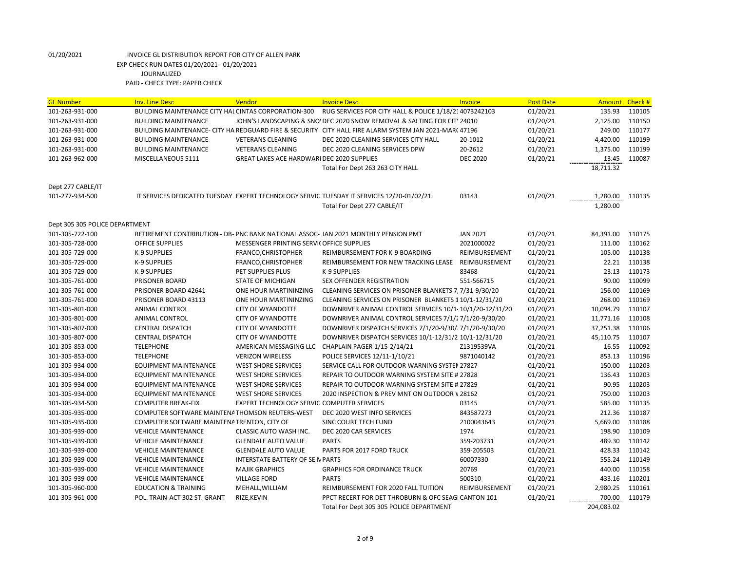| <b>GL Number</b>               | <b>Inv. Line Desc</b>                                | Vendor                                             | <b>Invoice Desc.</b>                                                                                   | Invoice         | <b>Post Date</b> | Amount Check # |        |
|--------------------------------|------------------------------------------------------|----------------------------------------------------|--------------------------------------------------------------------------------------------------------|-----------------|------------------|----------------|--------|
| 101-263-931-000                | BUILDING MAINTENANCE CITY HAL CINTAS CORPORATION-300 |                                                    | RUG SERVICES FOR CITY HALL & POLICE 1/18/214073242103                                                  |                 | 01/20/21         | 135.93         | 110105 |
| 101-263-931-000                | <b>BUILDING MAINTENANCE</b>                          |                                                    | JOHN'S LANDSCAPING & SNO' DEC 2020 SNOW REMOVAL & SALTING FOR CITY 24010                               |                 | 01/20/21         | 2,125.00       | 110150 |
| 101-263-931-000                |                                                      |                                                    | BUILDING MAINTENANCE- CITY HA REDGUARD FIRE & SECURITY CITY HALL FIRE ALARM SYSTEM JAN 2021-MAR( 47196 |                 | 01/20/21         | 249.00         | 110177 |
| 101-263-931-000                | <b>BUILDING MAINTENANCE</b>                          | <b>VETERANS CLEANING</b>                           | DEC 2020 CLEANING SERVICES CITY HALL                                                                   | 20-1012         | 01/20/21         | 4,420.00       | 110199 |
| 101-263-931-000                | <b>BUILDING MAINTENANCE</b>                          | <b>VETERANS CLEANING</b>                           | DEC 2020 CLEANING SERVICES DPW                                                                         | 20-2612         | 01/20/21         | 1,375.00       | 110199 |
| 101-263-962-000                | MISCELLANEOUS 5111                                   | <b>GREAT LAKES ACE HARDWARI DEC 2020 SUPPLIES</b>  |                                                                                                        | <b>DEC 2020</b> | 01/20/21         | 13.45          | 110087 |
|                                |                                                      |                                                    | Total For Dept 263 263 CITY HALL                                                                       |                 |                  | 18,711.32      |        |
|                                |                                                      |                                                    |                                                                                                        |                 |                  |                |        |
| Dept 277 CABLE/IT              |                                                      |                                                    |                                                                                                        |                 |                  |                |        |
| 101-277-934-500                |                                                      |                                                    | IT SERVICES DEDICATED TUESDAY EXPERT TECHNOLOGY SERVIC TUESDAY IT SERVICES 12/20-01/02/21              | 03143           | 01/20/21         | 1,280.00       | 110135 |
|                                |                                                      |                                                    | Total For Dept 277 CABLE/IT                                                                            |                 |                  | 1,280.00       |        |
|                                |                                                      |                                                    |                                                                                                        |                 |                  |                |        |
| Dept 305 305 POLICE DEPARTMENT |                                                      |                                                    |                                                                                                        |                 |                  |                |        |
| 101-305-722-100                |                                                      |                                                    | RETIREMENT CONTRIBUTION - DB- PNC BANK NATIONAL ASSOC-JAN 2021 MONTHLY PENSION PMT                     | <b>JAN 2021</b> | 01/20/21         | 84,391.00      | 110175 |
| 101-305-728-000                | <b>OFFICE SUPPLIES</b>                               | MESSENGER PRINTING SERVIC OFFICE SUPPLIES          |                                                                                                        | 2021000022      | 01/20/21         | 111.00         | 110162 |
| 101-305-729-000                | K-9 SUPPLIES                                         | FRANCO, CHRISTOPHER                                | REIMBURSEMENT FOR K-9 BOARDING                                                                         | REIMBURSEMENT   | 01/20/21         | 105.00         | 110138 |
| 101-305-729-000                | K-9 SUPPLIES                                         | FRANCO, CHRISTOPHER                                | REIMBURSEMENT FOR NEW TRACKING LEASE                                                                   | REIMBURSEMENT   | 01/20/21         | 22.21          | 110138 |
| 101-305-729-000                | K-9 SUPPLIES                                         | PET SUPPLIES PLUS                                  | <b>K-9 SUPPLIES</b>                                                                                    | 83468           | 01/20/21         | 23.13          | 110173 |
| 101-305-761-000                | PRISONER BOARD                                       | STATE OF MICHIGAN                                  | SEX OFFENDER REGISTRATION                                                                              | 551-566715      | 01/20/21         | 90.00          | 110099 |
| 101-305-761-000                | PRISONER BOARD 42641                                 | ONE HOUR MARTININZING                              | CLEANING SERVICES ON PRISONER BLANKETS 7, 7/31-9/30/20                                                 |                 | 01/20/21         | 156.00         | 110169 |
| 101-305-761-000                | PRISONER BOARD 43113                                 | ONE HOUR MARTININZING                              | CLEANING SERVICES ON PRISONER BLANKETS 1 10/1-12/31/20                                                 |                 | 01/20/21         | 268.00         | 110169 |
| 101-305-801-000                | <b>ANIMAL CONTROL</b>                                | <b>CITY OF WYANDOTTE</b>                           | DOWNRIVER ANIMAL CONTROL SERVICES 10/1-10/1/20-12/31/20                                                |                 | 01/20/21         | 10,094.79      | 110107 |
| 101-305-801-000                | ANIMAL CONTROL                                       | <b>CITY OF WYANDOTTE</b>                           | DOWNRIVER ANIMAL CONTROL SERVICES 7/1/27/1/20-9/30/20                                                  |                 | 01/20/21         | 11,771.16      | 110108 |
| 101-305-807-000                | <b>CENTRAL DISPATCH</b>                              | <b>CITY OF WYANDOTTE</b>                           | DOWNRIVER DISPATCH SERVICES 7/1/20-9/30/: 7/1/20-9/30/20                                               |                 | 01/20/21         | 37,251.38      | 110106 |
| 101-305-807-000                | <b>CENTRAL DISPATCH</b>                              | <b>CITY OF WYANDOTTE</b>                           | DOWNRIVER DISPATCH SERVICES 10/1-12/31/2 10/1-12/31/20                                                 |                 | 01/20/21         | 45,110.75      | 110107 |
| 101-305-853-000                | <b>TELEPHONE</b>                                     | AMERICAN MESSAGING LLC                             | CHAPLAIN PAGER 1/15-2/14/21                                                                            | Z1319539VA      | 01/20/21         | 16.55          | 110092 |
| 101-305-853-000                | <b>TELEPHONE</b>                                     | <b>VERIZON WIRELESS</b>                            | POLICE SERVICES 12/11-1/10/21                                                                          | 9871040142      | 01/20/21         | 853.13         | 110196 |
| 101-305-934-000                | <b>EQUIPMENT MAINTENANCE</b>                         | <b>WEST SHORE SERVICES</b>                         | SERVICE CALL FOR OUTDOOR WARNING SYSTEM 27827                                                          |                 | 01/20/21         | 150.00         | 110203 |
| 101-305-934-000                | <b>EQUIPMENT MAINTENANCE</b>                         | <b>WEST SHORE SERVICES</b>                         | REPAIR TO OUTDOOR WARNING SYSTEM SITE # 27828                                                          |                 | 01/20/21         | 136.43         | 110203 |
| 101-305-934-000                | <b>EQUIPMENT MAINTENANCE</b>                         | <b>WEST SHORE SERVICES</b>                         | REPAIR TO OUTDOOR WARNING SYSTEM SITE # 27829                                                          |                 | 01/20/21         | 90.95          | 110203 |
| 101-305-934-000                | <b>EQUIPMENT MAINTENANCE</b>                         | <b>WEST SHORE SERVICES</b>                         | 2020 INSPECTION & PREV MNT ON OUTDOOR V 28162                                                          |                 | 01/20/21         | 750.00         | 110203 |
| 101-305-934-500                | <b>COMPUTER BREAK-FIX</b>                            | <b>EXPERT TECHNOLOGY SERVICI COMPUTER SERVICES</b> |                                                                                                        | 03145           | 01/20/21         | 585.00         | 110135 |
| 101-305-935-000                | COMPUTER SOFTWARE MAINTENA THOMSON REUTERS-WEST      |                                                    | DEC 2020 WEST INFO SERVICES                                                                            | 843587273       | 01/20/21         | 212.36         | 110187 |
| 101-305-935-000                | COMPUTER SOFTWARE MAINTENA TRENTON, CITY OF          |                                                    | <b>SINC COURT TECH FUND</b>                                                                            | 2100043643      | 01/20/21         | 5,669.00       | 110188 |
| 101-305-939-000                | <b>VEHICLE MAINTENANCE</b>                           | CLASSIC AUTO WASH INC.                             | DEC 2020 CAR SERVICES                                                                                  | 1974            | 01/20/21         | 198.90         | 110109 |
| 101-305-939-000                | <b>VEHICLE MAINTENANCE</b>                           | <b>GLENDALE AUTO VALUE</b>                         | <b>PARTS</b>                                                                                           | 359-203731      | 01/20/21         | 489.30         | 110142 |
| 101-305-939-000                | <b>VEHICLE MAINTENANCE</b>                           | <b>GLENDALE AUTO VALUE</b>                         | PARTS FOR 2017 FORD TRUCK                                                                              | 359-205503      | 01/20/21         | 428.33         | 110142 |
| 101-305-939-000                | <b>VEHICLE MAINTENANCE</b>                           | <b>INTERSTATE BATTERY OF SE N PARTS</b>            |                                                                                                        | 60007330        | 01/20/21         | 555.24         | 110149 |
| 101-305-939-000                | <b>VEHICLE MAINTENANCE</b>                           | <b>MAJIK GRAPHICS</b>                              | <b>GRAPHICS FOR ORDINANCE TRUCK</b>                                                                    | 20769           | 01/20/21         | 440.00         | 110158 |
| 101-305-939-000                | <b>VEHICLE MAINTENANCE</b>                           | <b>VILLAGE FORD</b>                                | <b>PARTS</b>                                                                                           | 500310          | 01/20/21         | 433.16         | 110201 |
| 101-305-960-000                | <b>EDUCATION &amp; TRAINING</b>                      | MEHALL, WILLIAM                                    | REIMBURSEMENT FOR 2020 FALL TUITION                                                                    | REIMBURSEMENT   | 01/20/21         | 2,980.25       | 110161 |
| 101-305-961-000                | POL. TRAIN-ACT 302 ST. GRANT                         | RIZE, KEVIN                                        | PPCT RECERT FOR DET THROBURN & OFC SEAGI CANTON 101                                                    |                 | 01/20/21         | 700.00         | 110179 |
|                                |                                                      |                                                    | Total For Dept 305 305 POLICE DEPARTMENT                                                               |                 |                  | 204.083.02     |        |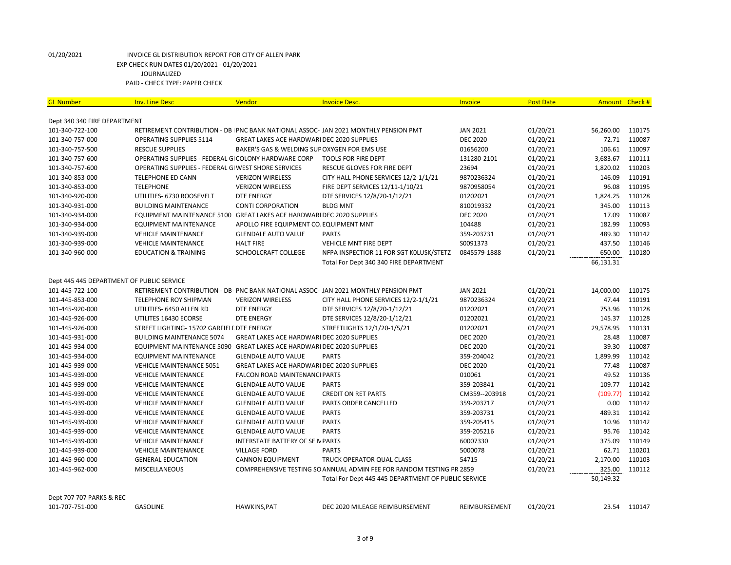| <b>GL Number</b>                          | <b>Inv. Line Desc</b>                                                 | Vendor                                            | <b>Invoice Desc.</b>                                                                 | <b>Invoice</b>  | <b>Post Date</b> | Amount Check # |        |
|-------------------------------------------|-----------------------------------------------------------------------|---------------------------------------------------|--------------------------------------------------------------------------------------|-----------------|------------------|----------------|--------|
| Dept 340 340 FIRE DEPARTMENT              |                                                                       |                                                   |                                                                                      |                 |                  |                |        |
| 101-340-722-100                           |                                                                       |                                                   | RETIREMENT CONTRIBUTION - DB   PNC BANK NATIONAL ASSOC- JAN 2021 MONTHLY PENSION PMT | <b>JAN 2021</b> | 01/20/21         | 56,260.00      | 110175 |
| 101-340-757-000                           | <b>OPERATING SUPPLIES 5114</b>                                        | <b>GREAT LAKES ACE HARDWARI DEC 2020 SUPPLIES</b> |                                                                                      | <b>DEC 2020</b> | 01/20/21         | 72.71          | 110087 |
| 101-340-757-500                           | <b>RESCUE SUPPLIES</b>                                                | BAKER'S GAS & WELDING SUP OXYGEN FOR EMS USE      |                                                                                      | 01656200        | 01/20/21         | 106.61         | 110097 |
| 101-340-757-600                           | OPERATING SUPPLIES - FEDERAL GI COLONY HARDWARE CORP                  |                                                   | <b>TOOLS FOR FIRE DEPT</b>                                                           | 131280-2101     | 01/20/21         | 3,683.67       | 110111 |
| 101-340-757-600                           | OPERATING SUPPLIES - FEDERAL GI WEST SHORE SERVICES                   |                                                   | <b>RESCUE GLOVES FOR FIRE DEPT</b>                                                   | 23694           | 01/20/21         | 1,820.02       | 110203 |
| 101-340-853-000                           | <b>TELEPHONE ED CANN</b>                                              | <b>VERIZON WIRELESS</b>                           | CITY HALL PHONE SERVICES 12/2-1/1/21                                                 | 9870236324      | 01/20/21         | 146.09         | 110191 |
| 101-340-853-000                           | <b>TELEPHONE</b>                                                      | <b>VERIZON WIRELESS</b>                           | FIRE DEPT SERVICES 12/11-1/10/21                                                     | 9870958054      | 01/20/21         | 96.08          | 110195 |
| 101-340-920-000                           | UTILITIES- 6730 ROOSEVELT                                             | <b>DTE ENERGY</b>                                 | DTE SERVICES 12/8/20-1/12/21                                                         | 01202021        | 01/20/21         | 1,824.25       | 110128 |
| 101-340-931-000                           | <b>BUILDING MAINTENANCE</b>                                           | <b>CONTI CORPORATION</b>                          | <b>BLDG MNT</b>                                                                      | 810019332       | 01/20/21         | 345.00         | 110113 |
| 101-340-934-000                           | EQUIPMENT MAINTENANCE 5100 GREAT LAKES ACE HARDWARI DEC 2020 SUPPLIES |                                                   |                                                                                      | <b>DEC 2020</b> | 01/20/21         | 17.09          | 110087 |
| 101-340-934-000                           | <b>EQUIPMENT MAINTENANCE</b>                                          | APOLLO FIRE EQUIPMENT CO. EQUIPMENT MNT           |                                                                                      | 104488          | 01/20/21         | 182.99         | 110093 |
| 101-340-939-000                           | <b>VEHICLE MAINTENANCE</b>                                            | <b>GLENDALE AUTO VALUE</b>                        | <b>PARTS</b>                                                                         | 359-203731      | 01/20/21         | 489.30         | 110142 |
| 101-340-939-000                           | <b>VEHICLE MAINTENANCE</b>                                            | <b>HALT FIRE</b>                                  | VEHICLE MNT FIRE DEPT                                                                | S0091373        | 01/20/21         | 437.50         | 110146 |
| 101-340-960-000                           | <b>EDUCATION &amp; TRAINING</b>                                       | SCHOOLCRAFT COLLEGE                               | NFPA INSPECTIOR 11 FOR SGT KOLUSK/STETZ                                              | 0845579-1888    | 01/20/21         | 650.00         | 110180 |
|                                           |                                                                       |                                                   | Total For Dept 340 340 FIRE DEPARTMENT                                               |                 |                  | 66,131.31      |        |
|                                           |                                                                       |                                                   |                                                                                      |                 |                  |                |        |
| Dept 445 445 DEPARTMENT OF PUBLIC SERVICE |                                                                       |                                                   |                                                                                      |                 |                  |                |        |
| 101-445-722-100                           |                                                                       |                                                   | RETIREMENT CONTRIBUTION - DB- PNC BANK NATIONAL ASSOC- JAN 2021 MONTHLY PENSION PMT  | <b>JAN 2021</b> | 01/20/21         | 14,000.00      | 110175 |
| 101-445-853-000                           | <b>TELEPHONE ROY SHIPMAN</b>                                          | <b>VERIZON WIRELESS</b>                           | CITY HALL PHONE SERVICES 12/2-1/1/21                                                 | 9870236324      | 01/20/21         | 47.44          | 110191 |
| 101-445-920-000                           | UTILITIES- 6450 ALLEN RD                                              | <b>DTE ENERGY</b>                                 | DTE SERVICES 12/8/20-1/12/21                                                         | 01202021        | 01/20/21         | 753.96         | 110128 |
| 101-445-926-000                           | UTILITES 16430 ECORSE                                                 | <b>DTE ENERGY</b>                                 | DTE SERVICES 12/8/20-1/12/21                                                         | 01202021        | 01/20/21         | 145.37         | 110128 |
| 101-445-926-000                           | STREET LIGHTING- 15702 GARFIELL DTE ENERGY                            |                                                   | STREETLIGHTS 12/1/20-1/5/21                                                          | 01202021        | 01/20/21         | 29,578.95      | 110131 |
| 101-445-931-000                           | <b>BUILDING MAINTENANCE 5074</b>                                      | GREAT LAKES ACE HARDWARI DEC 2020 SUPPLIES        |                                                                                      | <b>DEC 2020</b> | 01/20/21         | 28.48          | 110087 |
| 101-445-934-000                           | EQUIPMENT MAINTENANCE 5090 GREAT LAKES ACE HARDWARI DEC 2020 SUPPLIES |                                                   |                                                                                      | <b>DEC 2020</b> | 01/20/21         | 39.30          | 110087 |
| 101-445-934-000                           | <b>EQUIPMENT MAINTENANCE</b>                                          | <b>GLENDALE AUTO VALUE</b>                        | <b>PARTS</b>                                                                         | 359-204042      | 01/20/21         | 1,899.99       | 110142 |
| 101-445-939-000                           | <b>VEHICLE MAINTENANCE 5051</b>                                       | GREAT LAKES ACE HARDWARI DEC 2020 SUPPLIES        |                                                                                      | <b>DEC 2020</b> | 01/20/21         | 77.48          | 110087 |
| 101-445-939-000                           | <b>VEHICLE MAINTENANCE</b>                                            | FALCON ROAD MAINTENANCI PARTS                     |                                                                                      | 010061          | 01/20/21         | 49.52          | 110136 |
| 101-445-939-000                           | <b>VEHICLE MAINTENANCE</b>                                            | <b>GLENDALE AUTO VALUE</b>                        | <b>PARTS</b>                                                                         | 359-203841      | 01/20/21         | 109.77         | 110142 |
| 101-445-939-000                           | <b>VEHICLE MAINTENANCE</b>                                            | <b>GLENDALE AUTO VALUE</b>                        | <b>CREDIT ON RET PARTS</b>                                                           | CM359--203918   | 01/20/21         | (109.77)       | 110142 |
| 101-445-939-000                           | <b>VEHICLE MAINTENANCE</b>                                            | <b>GLENDALE AUTO VALUE</b>                        | PARTS ORDER CANCELLED                                                                | 359-203717      | 01/20/21         | 0.00           | 110142 |
| 101-445-939-000                           | <b>VEHICLE MAINTENANCE</b>                                            | <b>GLENDALE AUTO VALUE</b>                        | <b>PARTS</b>                                                                         | 359-203731      | 01/20/21         | 489.31         | 110142 |
| 101-445-939-000                           | <b>VEHICLE MAINTENANCE</b>                                            | <b>GLENDALE AUTO VALUE</b>                        | <b>PARTS</b>                                                                         | 359-205415      | 01/20/21         | 10.96          | 110142 |
| 101-445-939-000                           | <b>VEHICLE MAINTENANCE</b>                                            | <b>GLENDALE AUTO VALUE</b>                        | <b>PARTS</b>                                                                         | 359-205216      | 01/20/21         | 95.76          | 110142 |
| 101-445-939-000                           | <b>VEHICLE MAINTENANCE</b>                                            | <b>INTERSTATE BATTERY OF SE N PARTS</b>           |                                                                                      | 60007330        | 01/20/21         | 375.09         | 110149 |
| 101-445-939-000                           | <b>VEHICLE MAINTENANCE</b>                                            | <b>VILLAGE FORD</b>                               | <b>PARTS</b>                                                                         | 5000078         | 01/20/21         | 62.71          | 110201 |
| 101-445-960-000                           | <b>GENERAL EDUCATION</b>                                              | <b>CANNON EQUIPMENT</b>                           | TRUCK OPERATOR QUAL CLASS                                                            | 54715           | 01/20/21         | 2,170.00       | 110103 |
| 101-445-962-000                           | MISCELLANEOUS                                                         |                                                   | COMPREHENSIVE TESTING SO ANNUAL ADMIN FEE FOR RANDOM TESTING PR 2859                 |                 | 01/20/21         | 325.00         | 110112 |
|                                           |                                                                       |                                                   | Total For Dept 445 445 DEPARTMENT OF PUBLIC SERVICE                                  |                 |                  | 50,149.32      |        |
|                                           |                                                                       |                                                   |                                                                                      |                 |                  |                |        |
| Dept 707 707 PARKS & REC                  |                                                                       |                                                   |                                                                                      |                 |                  |                |        |
| 101-707-751-000                           | <b>GASOLINE</b>                                                       | <b>HAWKINS, PAT</b>                               | DEC 2020 MILEAGE REIMBURSEMENT                                                       | REIMBURSEMENT   | 01/20/21         | 23.54          | 110147 |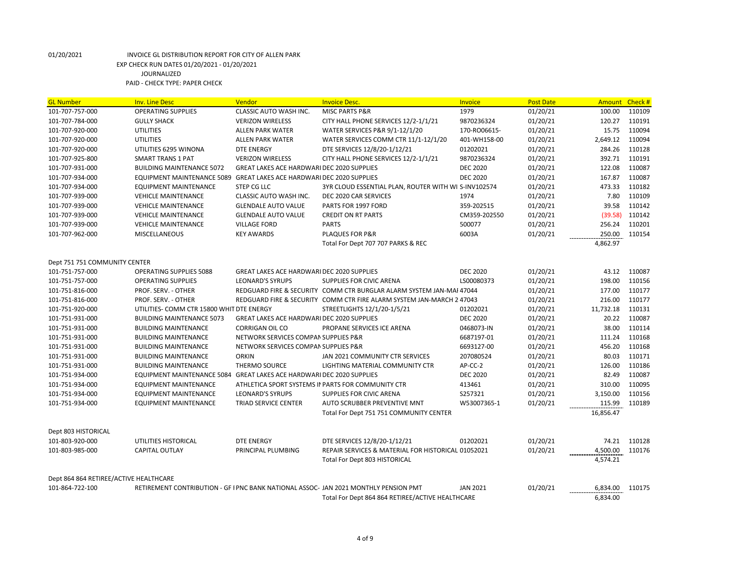| <b>GL Number</b>                       | <b>Inv. Line Desc</b>                                                 | Vendor                                            | <b>Invoice Desc.</b>                                                                | Invoice         | <b>Post Date</b> | Amount Check # |        |
|----------------------------------------|-----------------------------------------------------------------------|---------------------------------------------------|-------------------------------------------------------------------------------------|-----------------|------------------|----------------|--------|
| 101-707-757-000                        | <b>OPERATING SUPPLIES</b>                                             | CLASSIC AUTO WASH INC.                            | <b>MISC PARTS P&amp;R</b>                                                           | 1979            | 01/20/21         | 100.00         | 110109 |
| 101-707-784-000                        | <b>GULLY SHACK</b>                                                    | <b>VERIZON WIRELESS</b>                           | CITY HALL PHONE SERVICES 12/2-1/1/21                                                | 9870236324      | 01/20/21         | 120.27         | 110191 |
| 101-707-920-000                        | <b>UTILITIES</b>                                                      | <b>ALLEN PARK WATER</b>                           | WATER SERVICES P&R 9/1-12/1/20                                                      | 170-RO06615-    | 01/20/21         | 15.75          | 110094 |
| 101-707-920-000                        | <b>UTILITIES</b>                                                      | <b>ALLEN PARK WATER</b>                           | WATER SERVICES COMM CTR 11/1-12/1/20                                                | 401-WH158-00    | 01/20/21         | 2,649.12       | 110094 |
| 101-707-920-000                        | UTILITIES 6295 WINONA                                                 | <b>DTE ENERGY</b>                                 | DTE SERVICES 12/8/20-1/12/21                                                        | 01202021        | 01/20/21         | 284.26         | 110128 |
| 101-707-925-800                        | <b>SMART TRANS 1 PAT</b>                                              | <b>VERIZON WIRELESS</b>                           | CITY HALL PHONE SERVICES 12/2-1/1/21                                                | 9870236324      | 01/20/21         | 392.71         | 110191 |
| 101-707-931-000                        | <b>BUILDING MAINTENANCE 5072</b>                                      | GREAT LAKES ACE HARDWARI DEC 2020 SUPPLIES        |                                                                                     | <b>DEC 2020</b> | 01/20/21         | 122.08         | 110087 |
| 101-707-934-000                        | EQUIPMENT MAINTENANCE 5089 GREAT LAKES ACE HARDWARI DEC 2020 SUPPLIES |                                                   |                                                                                     | <b>DEC 2020</b> | 01/20/21         | 167.87         | 110087 |
| 101-707-934-000                        | <b>EQUIPMENT MAINTENANCE</b>                                          | <b>STEP CG LLC</b>                                | 3YR CLOUD ESSENTIAL PLAN, ROUTER WITH WI S-INV102574                                |                 | 01/20/21         | 473.33         | 110182 |
| 101-707-939-000                        | <b>VEHICLE MAINTENANCE</b>                                            | CLASSIC AUTO WASH INC.                            | DEC 2020 CAR SERVICES                                                               | 1974            | 01/20/21         | 7.80           | 110109 |
| 101-707-939-000                        | <b>VEHICLE MAINTENANCE</b>                                            | <b>GLENDALE AUTO VALUE</b>                        | PARTS FOR 1997 FORD                                                                 | 359-202515      | 01/20/21         | 39.58          | 110142 |
| 101-707-939-000                        | <b>VEHICLE MAINTENANCE</b>                                            | <b>GLENDALE AUTO VALUE</b>                        | <b>CREDIT ON RT PARTS</b>                                                           | CM359-202550    | 01/20/21         | (39.58)        | 110142 |
| 101-707-939-000                        | <b>VEHICLE MAINTENANCE</b>                                            | <b>VILLAGE FORD</b>                               | <b>PARTS</b>                                                                        | 500077          | 01/20/21         | 256.24         | 110201 |
| 101-707-962-000                        | <b>MISCELLANEOUS</b>                                                  | <b>KEY AWARDS</b>                                 | <b>PLAQUES FOR P&amp;R</b>                                                          | 6003A           | 01/20/21         | 250.00         | 110154 |
|                                        |                                                                       |                                                   | Total For Dept 707 707 PARKS & REC                                                  |                 |                  | 4,862.97       |        |
|                                        |                                                                       |                                                   |                                                                                     |                 |                  |                |        |
| Dept 751 751 COMMUNITY CENTER          |                                                                       |                                                   |                                                                                     |                 |                  |                |        |
| 101-751-757-000                        | <b>OPERATING SUPPLIES 5088</b>                                        | <b>GREAT LAKES ACE HARDWARI DEC 2020 SUPPLIES</b> |                                                                                     | <b>DEC 2020</b> | 01/20/21         | 43.12          | 110087 |
| 101-751-757-000                        | <b>OPERATING SUPPLIES</b>                                             | <b>LEONARD'S SYRUPS</b>                           | SUPPLIES FOR CIVIC ARENA                                                            | LS00080373      | 01/20/21         | 198.00         | 110156 |
| 101-751-816-000                        | PROF. SERV. - OTHER                                                   |                                                   | REDGUARD FIRE & SECURITY COMM CTR BURGLAR ALARM SYSTEM JAN-MAI 47044                |                 | 01/20/21         | 177.00         | 110177 |
| 101-751-816-000                        | PROF. SERV. - OTHER                                                   |                                                   | REDGUARD FIRE & SECURITY COMM CTR FIRE ALARM SYSTEM JAN-MARCH 2 47043               |                 | 01/20/21         | 216.00         | 110177 |
| 101-751-920-000                        | UTILITIES- COMM CTR 15800 WHIT DTE ENERGY                             |                                                   | STREETLIGHTS 12/1/20-1/5/21                                                         | 01202021        | 01/20/21         | 11,732.18      | 110131 |
| 101-751-931-000                        | <b>BUILDING MAINTENANCE 5073</b>                                      | GREAT LAKES ACE HARDWARI DEC 2020 SUPPLIES        |                                                                                     | <b>DEC 2020</b> | 01/20/21         | 20.22          | 110087 |
| 101-751-931-000                        | <b>BUILDING MAINTENANCE</b>                                           | <b>CORRIGAN OIL CO</b>                            | PROPANE SERVICES ICE ARENA                                                          | 0468073-IN      | 01/20/21         | 38.00          | 110114 |
| 101-751-931-000                        | <b>BUILDING MAINTENANCE</b>                                           | NETWORK SERVICES COMPAN SUPPLIES P&R              |                                                                                     | 6687197-01      | 01/20/21         | 111.24         | 110168 |
| 101-751-931-000                        | <b>BUILDING MAINTENANCE</b>                                           | NETWORK SERVICES COMPAN SUPPLIES P&R              |                                                                                     | 6693127-00      | 01/20/21         | 456.20         | 110168 |
| 101-751-931-000                        | <b>BUILDING MAINTENANCE</b>                                           | <b>ORKIN</b>                                      | JAN 2021 COMMUNITY CTR SERVICES                                                     | 207080524       | 01/20/21         | 80.03          | 110171 |
| 101-751-931-000                        | <b>BUILDING MAINTENANCE</b>                                           | THERMO SOURCE                                     | LIGHTING MATERIAL COMMUNITY CTR                                                     | AP-CC-2         | 01/20/21         | 126.00         | 110186 |
| 101-751-934-000                        | EQUIPMENT MAINTENANCE 5084 GREAT LAKES ACE HARDWARI DEC 2020 SUPPLIES |                                                   |                                                                                     | <b>DEC 2020</b> | 01/20/21         | 82.49          | 110087 |
| 101-751-934-000                        | <b>EQUIPMENT MAINTENANCE</b>                                          |                                                   | ATHLETICA SPORT SYSTEMS IN PARTS FOR COMMUNITY CTR                                  | 413461          | 01/20/21         | 310.00         | 110095 |
| 101-751-934-000                        | <b>EQUIPMENT MAINTENANCE</b>                                          | <b>LEONARD'S SYRUPS</b>                           | <b>SUPPLIES FOR CIVIC ARENA</b>                                                     | S257321         | 01/20/21         | 3,150.00       | 110156 |
| 101-751-934-000                        | <b>EQUIPMENT MAINTENANCE</b>                                          | TRIAD SERVICE CENTER                              | AUTO SCRUBBER PREVENTIVE MNT                                                        | W53007365-1     | 01/20/21         | 115.99         | 110189 |
|                                        |                                                                       |                                                   | Total For Dept 751 751 COMMUNITY CENTER                                             |                 |                  | 16,856.47      |        |
| Dept 803 HISTORICAL                    |                                                                       |                                                   |                                                                                     |                 |                  |                |        |
| 101-803-920-000                        | UTILITIES HISTORICAL                                                  | <b>DTE ENERGY</b>                                 | DTE SERVICES 12/8/20-1/12/21                                                        | 01202021        | 01/20/21         | 74.21          | 110128 |
| 101-803-985-000                        | <b>CAPITAL OUTLAY</b>                                                 | PRINCIPAL PLUMBING                                | REPAIR SERVICES & MATERIAL FOR HISTORICAL 01052021                                  |                 | 01/20/21         | 4,500.00       | 110176 |
|                                        |                                                                       |                                                   | Total For Dept 803 HISTORICAL                                                       |                 |                  | 4,574.21       |        |
|                                        |                                                                       |                                                   |                                                                                     |                 |                  |                |        |
| Dept 864 864 RETIREE/ACTIVE HEALTHCARE |                                                                       |                                                   |                                                                                     |                 |                  |                |        |
| 101-864-722-100                        |                                                                       |                                                   | RETIREMENT CONTRIBUTION - GF I PNC BANK NATIONAL ASSOC-JAN 2021 MONTHLY PENSION PMT | <b>JAN 2021</b> | 01/20/21         | 6,834.00       | 110175 |
|                                        |                                                                       |                                                   | Total For Dept 864 864 RETIREE/ACTIVE HEALTHCARE                                    |                 |                  | 6,834.00       |        |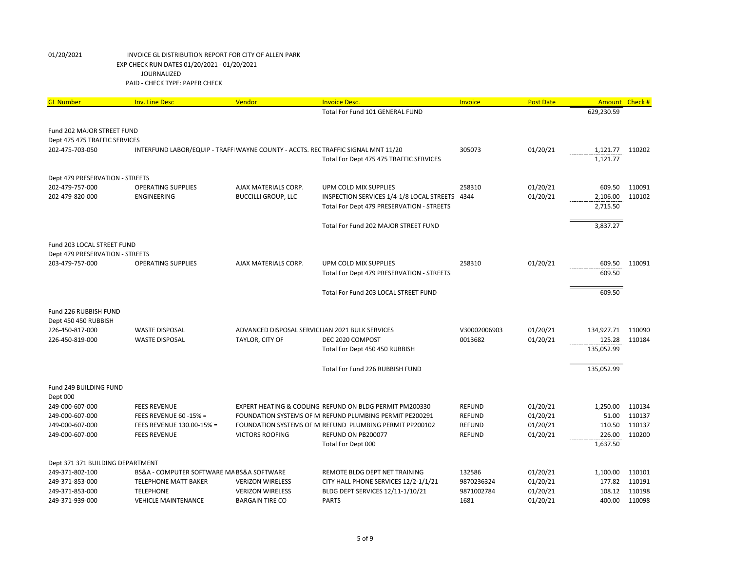| <b>GL Number</b>                                            | <b>Inv. Line Desc</b>                     | Vendor                                                                            | <b>Invoice Desc.</b>                                    | Invoice       | <b>Post Date</b> | <b>Amount</b> | Check # |
|-------------------------------------------------------------|-------------------------------------------|-----------------------------------------------------------------------------------|---------------------------------------------------------|---------------|------------------|---------------|---------|
|                                                             |                                           |                                                                                   | Total For Fund 101 GENERAL FUND                         |               |                  | 629,230.59    |         |
|                                                             |                                           |                                                                                   |                                                         |               |                  |               |         |
| Fund 202 MAJOR STREET FUND<br>Dept 475 475 TRAFFIC SERVICES |                                           |                                                                                   |                                                         |               |                  |               |         |
| 202-475-703-050                                             |                                           | INTERFUND LABOR/EQUIP - TRAFFI WAYNE COUNTY - ACCTS. REC TRAFFIC SIGNAL MNT 11/20 |                                                         | 305073        | 01/20/21         | 1,121.77      | 110202  |
|                                                             |                                           |                                                                                   | Total For Dept 475 475 TRAFFIC SERVICES                 |               |                  | 1,121.77      |         |
|                                                             |                                           |                                                                                   |                                                         |               |                  |               |         |
| Dept 479 PRESERVATION - STREETS                             |                                           |                                                                                   |                                                         |               |                  |               |         |
| 202-479-757-000                                             | <b>OPERATING SUPPLIES</b>                 | AJAX MATERIALS CORP.                                                              | UPM COLD MIX SUPPLIES                                   | 258310        | 01/20/21         | 609.50        | 110091  |
| 202-479-820-000                                             | <b>ENGINEERING</b>                        | <b>BUCCILLI GROUP, LLC</b>                                                        | INSPECTION SERVICES 1/4-1/8 LOCAL STREETS 4344          |               | 01/20/21         | 2,106.00      | 110102  |
|                                                             |                                           |                                                                                   | Total For Dept 479 PRESERVATION - STREETS               |               |                  | 2,715.50      |         |
|                                                             |                                           |                                                                                   |                                                         |               |                  |               |         |
|                                                             |                                           |                                                                                   | Total For Fund 202 MAJOR STREET FUND                    |               |                  | 3,837.27      |         |
|                                                             |                                           |                                                                                   |                                                         |               |                  |               |         |
| Fund 203 LOCAL STREET FUND                                  |                                           |                                                                                   |                                                         |               |                  |               |         |
| Dept 479 PRESERVATION - STREETS                             |                                           |                                                                                   |                                                         |               |                  |               |         |
| 203-479-757-000                                             | <b>OPERATING SUPPLIES</b>                 | AJAX MATERIALS CORP.                                                              | UPM COLD MIX SUPPLIES                                   | 258310        | 01/20/21         | 609.50        | 110091  |
|                                                             |                                           |                                                                                   | Total For Dept 479 PRESERVATION - STREETS               |               |                  | 609.50        |         |
|                                                             |                                           |                                                                                   |                                                         |               |                  |               |         |
|                                                             |                                           |                                                                                   | Total For Fund 203 LOCAL STREET FUND                    |               |                  | 609.50        |         |
|                                                             |                                           |                                                                                   |                                                         |               |                  |               |         |
| Fund 226 RUBBISH FUND                                       |                                           |                                                                                   |                                                         |               |                  |               |         |
| Dept 450 450 RUBBISH                                        |                                           |                                                                                   |                                                         |               |                  |               |         |
| 226-450-817-000                                             | <b>WASTE DISPOSAL</b>                     | ADVANCED DISPOSAL SERVICI JAN 2021 BULK SERVICES                                  |                                                         | V30002006903  | 01/20/21         | 134,927.71    | 110090  |
| 226-450-819-000                                             | <b>WASTE DISPOSAL</b>                     | TAYLOR, CITY OF                                                                   | DEC 2020 COMPOST                                        | 0013682       | 01/20/21         | 125.28        | 110184  |
|                                                             |                                           |                                                                                   | Total For Dept 450 450 RUBBISH                          |               |                  | 135,052.99    |         |
|                                                             |                                           |                                                                                   |                                                         |               |                  |               |         |
|                                                             |                                           |                                                                                   | Total For Fund 226 RUBBISH FUND                         |               |                  | 135,052.99    |         |
| Fund 249 BUILDING FUND                                      |                                           |                                                                                   |                                                         |               |                  |               |         |
| Dept 000                                                    |                                           |                                                                                   |                                                         |               |                  |               |         |
| 249-000-607-000                                             | <b>FEES REVENUE</b>                       |                                                                                   | EXPERT HEATING & COOLING REFUND ON BLDG PERMIT PM200330 | <b>REFUND</b> | 01/20/21         | 1,250.00      | 110134  |
| 249-000-607-000                                             | <b>FEES REVENUE 60 -15% =</b>             |                                                                                   | FOUNDATION SYSTEMS OF MIREFUND PLUMBING PERMIT PE200291 | <b>REFUND</b> | 01/20/21         | 51.00         | 110137  |
| 249-000-607-000                                             | FEES REVENUE 130.00-15% =                 |                                                                                   | FOUNDATION SYSTEMS OF MIREFUND PLUMBING PERMIT PP200102 | <b>REFUND</b> | 01/20/21         | 110.50        | 110137  |
| 249-000-607-000                                             | <b>FEES REVENUE</b>                       | <b>VICTORS ROOFING</b>                                                            | REFUND ON PB200077                                      | <b>REFUND</b> | 01/20/21         | 226.00        | 110200  |
|                                                             |                                           |                                                                                   | Total For Dept 000                                      |               |                  | 1,637.50      |         |
|                                                             |                                           |                                                                                   |                                                         |               |                  |               |         |
| Dept 371 371 BUILDING DEPARTMENT                            |                                           |                                                                                   |                                                         |               |                  |               |         |
| 249-371-802-100                                             | BS&A - COMPUTER SOFTWARE MA BS&A SOFTWARE |                                                                                   | REMOTE BLDG DEPT NET TRAINING                           | 132586        | 01/20/21         | 1,100.00      | 110101  |
| 249-371-853-000                                             | <b>TELEPHONE MATT BAKER</b>               | <b>VERIZON WIRELESS</b>                                                           | CITY HALL PHONE SERVICES 12/2-1/1/21                    | 9870236324    | 01/20/21         | 177.82        | 110191  |
| 249-371-853-000                                             | <b>TELEPHONE</b>                          | <b>VERIZON WIRELESS</b>                                                           | BLDG DEPT SERVICES 12/11-1/10/21                        | 9871002784    | 01/20/21         | 108.12        | 110198  |
| 249-371-939-000                                             | <b>VEHICLE MAINTENANCE</b>                | <b>BARGAIN TIRE CO</b>                                                            | <b>PARTS</b>                                            | 1681          | 01/20/21         | 400.00        | 110098  |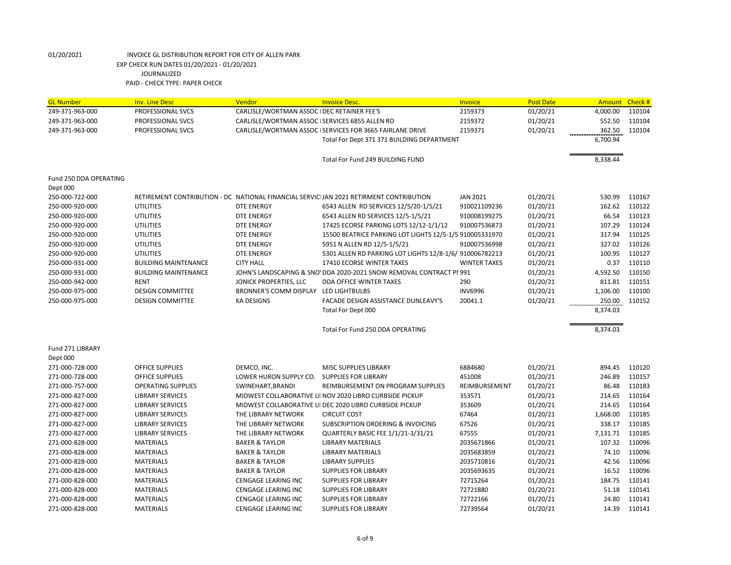| <b>GL Number</b>       | <b>Inv. Line Desc</b>       | Vendor                                         | <b>Invoice Desc.</b>                                                                   | Invoice             | <b>Post Date</b> | Amount Check # |        |
|------------------------|-----------------------------|------------------------------------------------|----------------------------------------------------------------------------------------|---------------------|------------------|----------------|--------|
| 249-371-963-000        | PROFESSIONAL SVCS           | CARLISLE/WORTMAN ASSOC I DEC RETAINER FEE'S    |                                                                                        | 2159373             | 01/20/21         | 4,000.00       | 110104 |
| 249-371-963-000        | PROFESSIONAL SVCS           | CARLISLE/WORTMAN ASSOC ISERVICES 6855 ALLEN RD |                                                                                        | 2159372             | 01/20/21         | 552.50         | 110104 |
| 249-371-963-000        | PROFESSIONAL SVCS           |                                                | CARLISLE/WORTMAN ASSOC ISERVICES FOR 3665 FAIRLANE DRIVE                               | 2159371             | 01/20/21         | 362.50         | 110104 |
|                        |                             |                                                | Total For Dept 371 371 BUILDING DEPARTMENT                                             |                     |                  | 6,700.94       |        |
|                        |                             |                                                |                                                                                        |                     |                  |                |        |
|                        |                             |                                                | Total For Fund 249 BUILDING FUND                                                       |                     |                  | 8,338.44       |        |
| Fund 250 DDA OPERATING |                             |                                                |                                                                                        |                     |                  |                |        |
| Dept 000               |                             |                                                |                                                                                        |                     |                  |                |        |
| 250-000-722-000        |                             |                                                | RETIREMENT CONTRIBUTION - DC NATIONAL FINANCIAL SERVICIJAN 2021 RETIRMENT CONTRIBUTION | <b>JAN 2021</b>     | 01/20/21         | 530.99         | 110167 |
| 250-000-920-000        | <b>UTILITIES</b>            | <b>DTE ENERGY</b>                              | 6543 ALLEN RD SERVICES 12/5/20-1/5/21                                                  | 910021109236        | 01/20/21         | 162.62         | 110122 |
| 250-000-920-000        | <b>UTILITIES</b>            | <b>DTE ENERGY</b>                              | 6543 ALLEN RD SERVICES 12/5-1/5/21                                                     | 910008199275        | 01/20/21         | 66.54          | 110123 |
| 250-000-920-000        | <b>UTILITIES</b>            | <b>DTE ENERGY</b>                              | 17425 ECORSE PARKING LOTS 12/12-1/1/12                                                 | 910007536873        | 01/20/21         | 107.29         | 110124 |
| 250-000-920-000        | <b>UTILITIES</b>            | <b>DTE ENERGY</b>                              | 15500 BEATRICE PARKING LOT LIGHTS 12/5-1/5 910005331970                                |                     | 01/20/21         | 317.94         | 110125 |
| 250-000-920-000        | <b>UTILITIES</b>            | DTE ENERGY                                     | 5951 N ALLEN RD 12/5-1/5/21                                                            | 910007536998        | 01/20/21         | 327.02         | 110126 |
| 250-000-920-000        | <b>UTILITIES</b>            | DTE ENERGY                                     | 5301 ALLEN RD PARKING LOT LIGHTS 12/8-1/6/ 910006782213                                |                     | 01/20/21         | 100.95         | 110127 |
| 250-000-931-000        | <b>BUILDING MAINTENANCE</b> | <b>CITY HALL</b>                               | 17410 ECORSE WINTER TAXES                                                              | <b>WINTER TAXES</b> | 01/20/21         | 0.37           | 110110 |
| 250-000-931-000        | <b>BUILDING MAINTENANCE</b> |                                                | JOHN'S LANDSCAPING & SNO' DDA 2020-2021 SNOW REMOVAL CONTRACT PI 991                   |                     | 01/20/21         | 4,592.50       | 110150 |
| 250-000-942-000        | <b>RENT</b>                 | JONICK PROPERTIES, LLC                         | <b>DDA OFFICE WINTER TAXES</b>                                                         | 290                 | 01/20/21         | 811.81         | 110151 |
| 250-000-975-000        | <b>DESIGN COMMITTEE</b>     | BRONNER'S COMM DISPLAY LED LIGHTBULBS          |                                                                                        | <b>INV6996</b>      | 01/20/21         | 1,106.00       | 110100 |
| 250-000-975-000        | <b>DESIGN COMMITTEE</b>     | <b>KA DESIGNS</b>                              | FACADE DESIGN ASSISTANCE DUNLEAVY'S                                                    | 20041.1             | 01/20/21         | 250.00         | 110152 |
|                        |                             |                                                | Total For Dept 000                                                                     |                     |                  | 8,374.03       |        |
|                        |                             |                                                |                                                                                        |                     |                  |                |        |
|                        |                             |                                                | Total For Fund 250 DDA OPERATING                                                       |                     |                  | 8,374.03       |        |
| Fund 271 LIBRARY       |                             |                                                |                                                                                        |                     |                  |                |        |
| Dept 000               |                             |                                                |                                                                                        |                     |                  |                |        |
| 271-000-728-000        | OFFICE SUPPLIES             | DEMCO, INC.                                    | MISC SUPPLIES LIBRARY                                                                  | 6884680             | 01/20/21         | 894.45         | 110120 |
| 271-000-728-000        | <b>OFFICE SUPPLIES</b>      | LOWER HURON SUPPLY CO.                         | <b>SUPPLIES FOR LIBRARY</b>                                                            | 451008              | 01/20/21         | 246.89         | 110157 |
| 271-000-757-000        | <b>OPERATING SUPPLIES</b>   | SWINEHART, BRANDI                              | REIMBURSEMENT ON PROGRAM SUPPLIES                                                      | REIMBURSEMENT       | 01/20/21         | 86.48          | 110183 |
| 271-000-827-000        | <b>LIBRARY SERVICES</b>     |                                                | MIDWEST COLLABORATIVE LII NOV 2020 LIBRO CURBSIDE PICKUP                               | 353571              | 01/20/21         | 214.65         | 110164 |
| 271-000-827-000        | <b>LIBRARY SERVICES</b>     |                                                | MIDWEST COLLABORATIVE LII DEC 2020 LIBRO CURBSIDE PICKUP                               | 353609              | 01/20/21         | 214.65         | 110164 |
| 271-000-827-000        | <b>LIBRARY SERVICES</b>     | THE LIBRARY NETWORK                            | <b>CIRCUIT COST</b>                                                                    | 67464               | 01/20/21         | 1,668.00       | 110185 |
| 271-000-827-000        | <b>LIBRARY SERVICES</b>     | THE LIBRARY NETWORK                            | SUBSCRIPTION ORDERING & INVOICING                                                      | 67526               | 01/20/21         | 338.17         | 110185 |
| 271-000-827-000        | <b>LIBRARY SERVICES</b>     | THE LIBRARY NETWORK                            | QUARTERLY BASIC FEE 1/1/21-3/31/21                                                     | 67555               | 01/20/21         | 7,131.71       | 110185 |
| 271-000-828-000        | <b>MATERIALS</b>            | <b>BAKER &amp; TAYLOR</b>                      | <b>LIBRARY MATERIALS</b>                                                               | 2035671866          | 01/20/21         | 107.32         | 110096 |
| 271-000-828-000        | <b>MATERIALS</b>            | <b>BAKER &amp; TAYLOR</b>                      | <b>LIBRARY MATERIALS</b>                                                               | 2035683859          | 01/20/21         | 74.10          | 110096 |
| 271-000-828-000        | <b>MATERIALS</b>            | <b>BAKER &amp; TAYLOR</b>                      | <b>LIBRARY SUPPLIES</b>                                                                | 2035710816          | 01/20/21         | 42.56          | 110096 |
| 271-000-828-000        | <b>MATERIALS</b>            | <b>BAKER &amp; TAYLOR</b>                      | <b>SUPPLIES FOR LIBRARY</b>                                                            | 2035693635          | 01/20/21         | 16.52          | 110096 |
| 271-000-828-000        | <b>MATERIALS</b>            | <b>CENGAGE LEARING INC</b>                     | <b>SUPPLIES FOR LIBRARY</b>                                                            | 72715264            | 01/20/21         | 184.75         | 110141 |
| 271-000-828-000        | <b>MATERIALS</b>            | <b>CENGAGE LEARING INC</b>                     | <b>SUPPLIES FOR LIBRARY</b>                                                            | 72721880            | 01/20/21         | 51.18          | 110141 |
| 271-000-828-000        | <b>MATERIALS</b>            | <b>CENGAGE LEARING INC</b>                     | <b>SUPPLIES FOR LIBRARY</b>                                                            | 72722166            | 01/20/21         | 24.80          | 110141 |
| 271-000-828-000        | <b>MATERIALS</b>            | CENGAGE LEARING INC                            | <b>SUPPLIES FOR LIBRARY</b>                                                            | 72739564            | 01/20/21         | 14.39          | 110141 |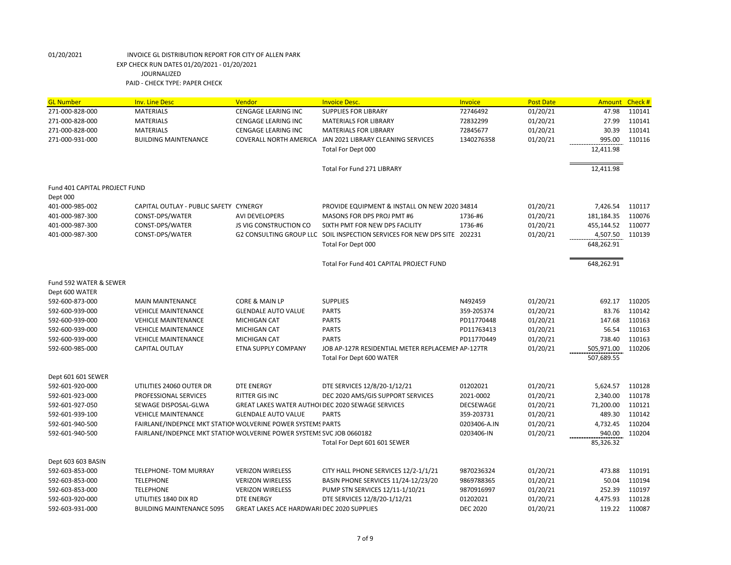| <b>GL Number</b>              | <b>Inv. Line Desc</b>                                                 | Vendor                                     | <b>Invoice Desc.</b>                                                     | <b>Invoice</b>   | <b>Post Date</b> | <b>Amount</b> | Check # |
|-------------------------------|-----------------------------------------------------------------------|--------------------------------------------|--------------------------------------------------------------------------|------------------|------------------|---------------|---------|
| 271-000-828-000               | <b>MATERIALS</b>                                                      | <b>CENGAGE LEARING INC</b>                 | <b>SUPPLIES FOR LIBRARY</b>                                              | 72746492         | 01/20/21         | 47.98         | 110141  |
| 271-000-828-000               | <b>MATERIALS</b>                                                      | CENGAGE LEARING INC                        | <b>MATERIALS FOR LIBRARY</b>                                             | 72832299         | 01/20/21         | 27.99         | 110141  |
| 271-000-828-000               | <b>MATERIALS</b>                                                      | <b>CENGAGE LEARING INC</b>                 | <b>MATERIALS FOR LIBRARY</b>                                             | 72845677         | 01/20/21         | 30.39         | 110141  |
| 271-000-931-000               | <b>BUILDING MAINTENANCE</b>                                           | <b>COVERALL NORTH AMERICA</b>              | JAN 2021 LIBRARY CLEANING SERVICES                                       | 1340276358       | 01/20/21         | 995.00        | 110116  |
|                               |                                                                       |                                            | Total For Dept 000                                                       |                  |                  | 12,411.98     |         |
|                               |                                                                       |                                            | <b>Total For Fund 271 LIBRARY</b>                                        |                  |                  | 12,411.98     |         |
| Fund 401 CAPITAL PROJECT FUND |                                                                       |                                            |                                                                          |                  |                  |               |         |
| Dept 000<br>401-000-985-002   | CAPITAL OUTLAY - PUBLIC SAFETY CYNERGY                                |                                            | PROVIDE EQUIPMENT & INSTALL ON NEW 2020 34814                            |                  | 01/20/21         | 7,426.54      | 110117  |
| 401-000-987-300               | CONST-DPS/WATER                                                       | <b>AVI DEVELOPERS</b>                      | MASONS FOR DPS PROJ PMT #6                                               | 1736-#6          | 01/20/21         | 181,184.35    | 110076  |
| 401-000-987-300               | CONST-DPS/WATER                                                       | <b>JS VIG CONSTRUCTION CO</b>              | SIXTH PMT FOR NEW DPS FACILITY                                           | 1736-#6          | 01/20/21         | 455,144.52    | 110077  |
| 401-000-987-300               | CONST-DPS/WATER                                                       |                                            | G2 CONSULTING GROUP LLC SOIL INSPECTION SERVICES FOR NEW DPS SITE 202231 |                  | 01/20/21         | 4,507.50      | 110139  |
|                               |                                                                       |                                            | Total For Dept 000                                                       |                  |                  | 648.262.91    |         |
|                               |                                                                       |                                            | Total For Fund 401 CAPITAL PROJECT FUND                                  |                  |                  | 648,262.91    |         |
|                               |                                                                       |                                            |                                                                          |                  |                  |               |         |
| Fund 592 WATER & SEWER        |                                                                       |                                            |                                                                          |                  |                  |               |         |
| Dept 600 WATER                |                                                                       |                                            |                                                                          |                  |                  |               |         |
| 592-600-873-000               | <b>MAIN MAINTENANCE</b>                                               | CORE & MAIN LP                             | <b>SUPPLIES</b>                                                          | N492459          | 01/20/21         | 692.17        | 110205  |
| 592-600-939-000               | <b>VEHICLE MAINTENANCE</b>                                            | <b>GLENDALE AUTO VALUE</b>                 | <b>PARTS</b>                                                             | 359-205374       | 01/20/21         | 83.76         | 110142  |
| 592-600-939-000               | <b>VEHICLE MAINTENANCE</b>                                            | <b>MICHIGAN CAT</b>                        | <b>PARTS</b>                                                             | PD11770448       | 01/20/21         | 147.68        | 110163  |
| 592-600-939-000               | <b>VEHICLE MAINTENANCE</b>                                            | <b>MICHIGAN CAT</b>                        | <b>PARTS</b>                                                             | PD11763413       | 01/20/21         | 56.54         | 110163  |
| 592-600-939-000               | <b>VEHICLE MAINTENANCE</b>                                            | <b>MICHIGAN CAT</b>                        | <b>PARTS</b>                                                             | PD11770449       | 01/20/21         | 738.40        | 110163  |
| 592-600-985-000               | <b>CAPITAL OUTLAY</b>                                                 | ETNA SUPPLY COMPANY                        | JOB AP-127R RESIDENTIAL METER REPLACEMEN AP-127TR                        |                  | 01/20/21         | 505,971.00    | 110206  |
|                               |                                                                       |                                            | Total For Dept 600 WATER                                                 |                  |                  | 507,689.55    |         |
| Dept 601 601 SEWER            |                                                                       |                                            |                                                                          |                  |                  |               |         |
| 592-601-920-000               | UTILITIES 24060 OUTER DR                                              | <b>DTE ENERGY</b>                          | DTE SERVICES 12/8/20-1/12/21                                             | 01202021         | 01/20/21         | 5,624.57      | 110128  |
| 592-601-923-000               | PROFESSIONAL SERVICES                                                 | <b>RITTER GIS INC</b>                      | DEC 2020 AMS/GIS SUPPORT SERVICES                                        | 2021-0002        | 01/20/21         | 2,340.00      | 110178  |
| 592-601-927-050               | SEWAGE DISPOSAL-GLWA                                                  |                                            | <b>GREAT LAKES WATER AUTHOI DEC 2020 SEWAGE SERVICES</b>                 | <b>DECSEWAGE</b> | 01/20/21         | 71,200.00     | 110121  |
| 592-601-939-100               | <b>VEHICLE MAINTENANCE</b>                                            | <b>GLENDALE AUTO VALUE</b>                 | <b>PARTS</b>                                                             | 359-203731       | 01/20/21         | 489.30        | 110142  |
| 592-601-940-500               | FAIRLANE/INDEPNCE MKT STATION WOLVERINE POWER SYSTEMS PARTS           |                                            |                                                                          | 0203406-A.IN     | 01/20/21         | 4,732.45      | 110204  |
| 592-601-940-500               | FAIRLANE/INDEPNCE MKT STATION WOLVERINE POWER SYSTEMS SVC JOB 0660182 |                                            |                                                                          | 0203406-IN       | 01/20/21         | 940.00        | 110204  |
|                               |                                                                       |                                            | Total For Dept 601 601 SEWER                                             |                  |                  | 85,326.32     |         |
| Dept 603 603 BASIN            |                                                                       |                                            |                                                                          |                  |                  |               |         |
| 592-603-853-000               | <b>TELEPHONE-TOM MURRAY</b>                                           | <b>VERIZON WIRELESS</b>                    | CITY HALL PHONE SERVICES 12/2-1/1/21                                     | 9870236324       | 01/20/21         | 473.88        | 110191  |
| 592-603-853-000               | <b>TELEPHONE</b>                                                      | <b>VERIZON WIRELESS</b>                    | BASIN PHONE SERVICES 11/24-12/23/20                                      | 9869788365       | 01/20/21         | 50.04         | 110194  |
| 592-603-853-000               | <b>TELEPHONE</b>                                                      | <b>VERIZON WIRELESS</b>                    | PUMP STN SERVICES 12/11-1/10/21                                          | 9870916997       | 01/20/21         | 252.39        | 110197  |
| 592-603-920-000               | UTILITIES 1840 DIX RD                                                 | <b>DTE ENERGY</b>                          | DTE SERVICES 12/8/20-1/12/21                                             | 01202021         | 01/20/21         | 4,475.93      | 110128  |
| 592-603-931-000               | <b>BUILDING MAINTENANCE 5095</b>                                      | GREAT LAKES ACE HARDWARI DEC 2020 SUPPLIES |                                                                          | <b>DEC 2020</b>  | 01/20/21         | 119.22        | 110087  |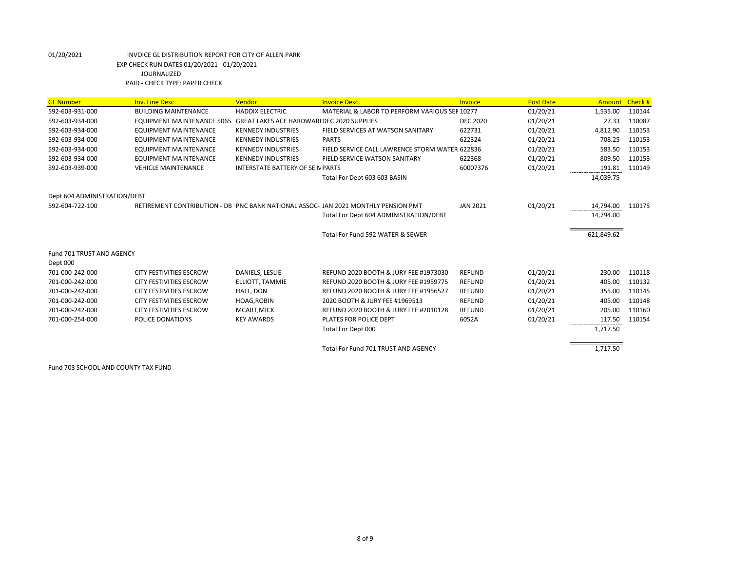| <b>GL Number</b>             | <b>Inv. Line Desc</b>          | Vendor                                            | <b>Invoice Desc.</b>                                                                | Invoice         | <b>Post Date</b> | <b>Amount</b> | Check# |
|------------------------------|--------------------------------|---------------------------------------------------|-------------------------------------------------------------------------------------|-----------------|------------------|---------------|--------|
| 592-603-931-000              | <b>BUILDING MAINTENANCE</b>    | <b>HADDIX ELECTRIC</b>                            | MATERIAL & LABOR TO PERFORM VARIOUS SER 10277                                       |                 | 01/20/21         | 1,535.00      | 110144 |
| 592-603-934-000              | EQUIPMENT MAINTENANCE 5065     | <b>GREAT LAKES ACE HARDWARI DEC 2020 SUPPLIES</b> |                                                                                     | <b>DEC 2020</b> | 01/20/21         | 27.33         | 110087 |
| 592-603-934-000              | <b>EQUIPMENT MAINTENANCE</b>   | <b>KENNEDY INDUSTRIES</b>                         | FIELD SERVICES AT WATSON SANITARY                                                   | 622731          | 01/20/21         | 4,812.90      | 110153 |
| 592-603-934-000              | <b>EQUIPMENT MAINTENANCE</b>   | <b>KENNEDY INDUSTRIES</b>                         | <b>PARTS</b>                                                                        | 622324          | 01/20/21         | 708.25        | 110153 |
| 592-603-934-000              | <b>EQUIPMENT MAINTENANCE</b>   | <b>KENNEDY INDUSTRIES</b>                         | FIELD SERVICE CALL LAWRENCE STORM WATER 622836                                      |                 | 01/20/21         | 583.50        | 110153 |
| 592-603-934-000              | <b>EQUIPMENT MAINTENANCE</b>   | <b>KENNEDY INDUSTRIES</b>                         | FIELD SERVICE WATSON SANITARY                                                       | 622368          | 01/20/21         | 809.50        | 110153 |
| 592-603-939-000              | <b>VEHICLE MAINTENANCE</b>     | <b>INTERSTATE BATTERY OF SE N PARTS</b>           |                                                                                     | 60007376        | 01/20/21         | 191.81        | 110149 |
|                              |                                |                                                   | Total For Dept 603 603 BASIN                                                        |                 |                  | 14,039.75     |        |
| Dept 604 ADMINISTRATION/DEBT |                                |                                                   |                                                                                     |                 |                  |               |        |
| 592-604-722-100              |                                |                                                   | RETIREMENT CONTRIBUTION - DB 'PNC BANK NATIONAL ASSOC- JAN 2021 MONTHLY PENSION PMT | <b>JAN 2021</b> | 01/20/21         | 14,794.00     | 110175 |
|                              |                                |                                                   | Total For Dept 604 ADMINISTRATION/DEBT                                              |                 |                  | 14,794.00     |        |
|                              |                                |                                                   | Total For Fund 592 WATER & SEWER                                                    |                 |                  | 621,849.62    |        |
|                              |                                |                                                   |                                                                                     |                 |                  |               |        |
| Fund 701 TRUST AND AGENCY    |                                |                                                   |                                                                                     |                 |                  |               |        |
| Dept 000                     |                                |                                                   |                                                                                     |                 |                  |               |        |
| 701-000-242-000              | <b>CITY FESTIVITIES ESCROW</b> | DANIELS, LESLIE                                   | REFUND 2020 BOOTH & JURY FEE #1973030                                               | <b>REFUND</b>   | 01/20/21         | 230.00        | 110118 |
| 701-000-242-000              | <b>CITY FESTIVITIES ESCROW</b> | ELLIOTT. TAMMIE                                   | REFUND 2020 BOOTH & JURY FEE #1959775                                               | <b>REFUND</b>   | 01/20/21         | 405.00        | 110132 |
| 701-000-242-000              | <b>CITY FESTIVITIES ESCROW</b> | HALL, DON                                         | REFUND 2020 BOOTH & JURY FEE #1956527                                               | <b>REFUND</b>   | 01/20/21         | 355.00        | 110145 |
| 701-000-242-000              | <b>CITY FESTIVITIES ESCROW</b> | <b>HOAG, ROBIN</b>                                | 2020 BOOTH & JURY FEE #1969513                                                      | <b>REFUND</b>   | 01/20/21         | 405.00        | 110148 |
| 701-000-242-000              | <b>CITY FESTIVITIES ESCROW</b> | MCART, MICK                                       | REFUND 2020 BOOTH & JURY FEE #2010128                                               | <b>REFUND</b>   | 01/20/21         | 205.00        | 110160 |
| 701-000-254-000              | <b>POLICE DONATIONS</b>        | <b>KEY AWARDS</b>                                 | PLATES FOR POLICE DEPT                                                              | 6052A           | 01/20/21         | 117.50        | 110154 |
|                              |                                |                                                   | Total For Dept 000                                                                  |                 |                  | 1,717.50      |        |
|                              |                                |                                                   | Total For Fund 701 TRUST AND AGENCY                                                 |                 |                  | 1,717.50      |        |

Fund 703 SCHOOL AND COUNTY TAX FUND